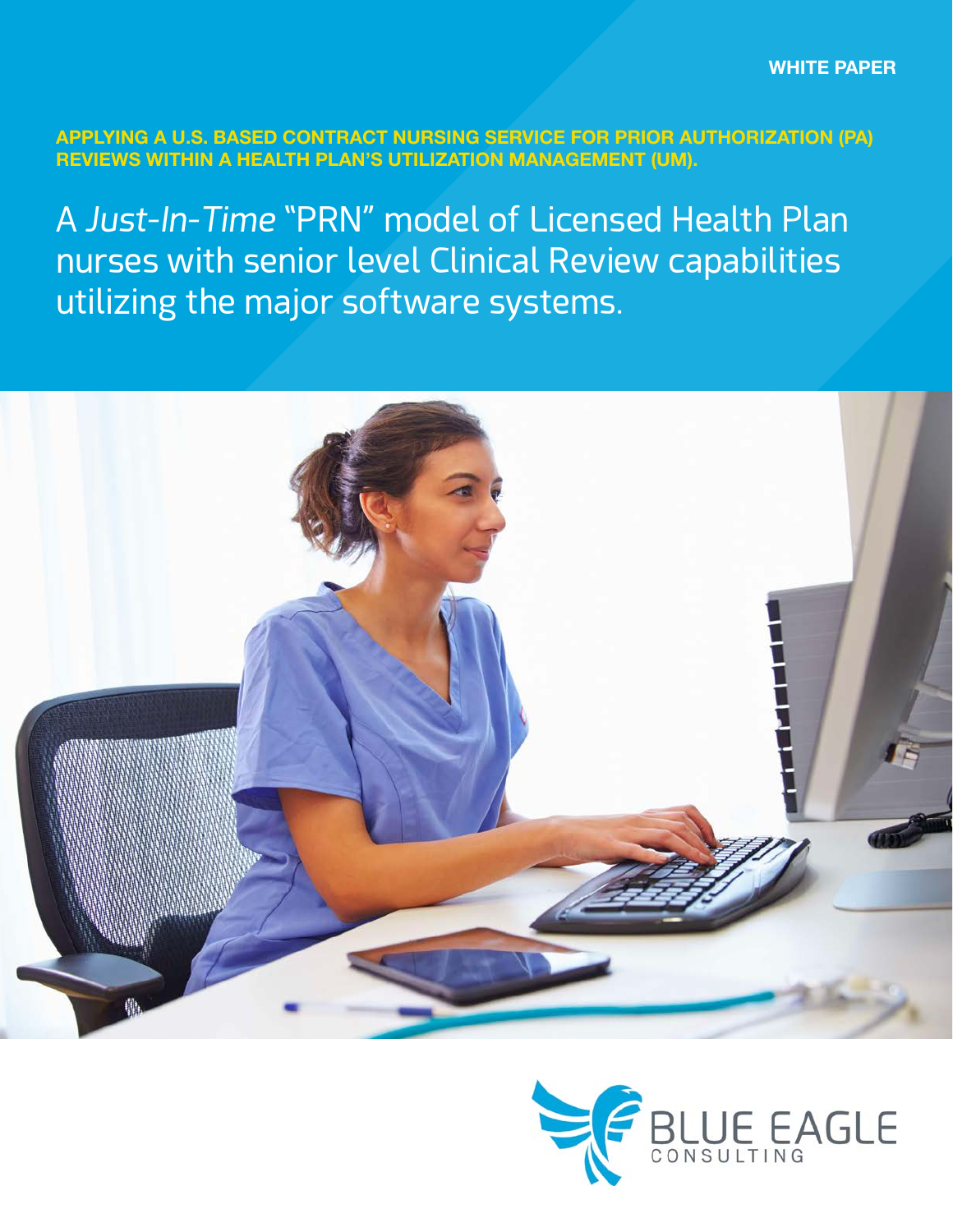**APPLYING A U.S. BASED CONTRACT NURSING SERVICE FOR PRIOR AUTHORIZATION (PA) REVIEWS WITHIN A HEALTH PLAN'S UTILIZATION MANAGEMENT (UM).**

A *Just-In-Time* "PRN" model of Licensed Health Plan nurses with senior level Clinical Review capabilities utilizing the major software systems.



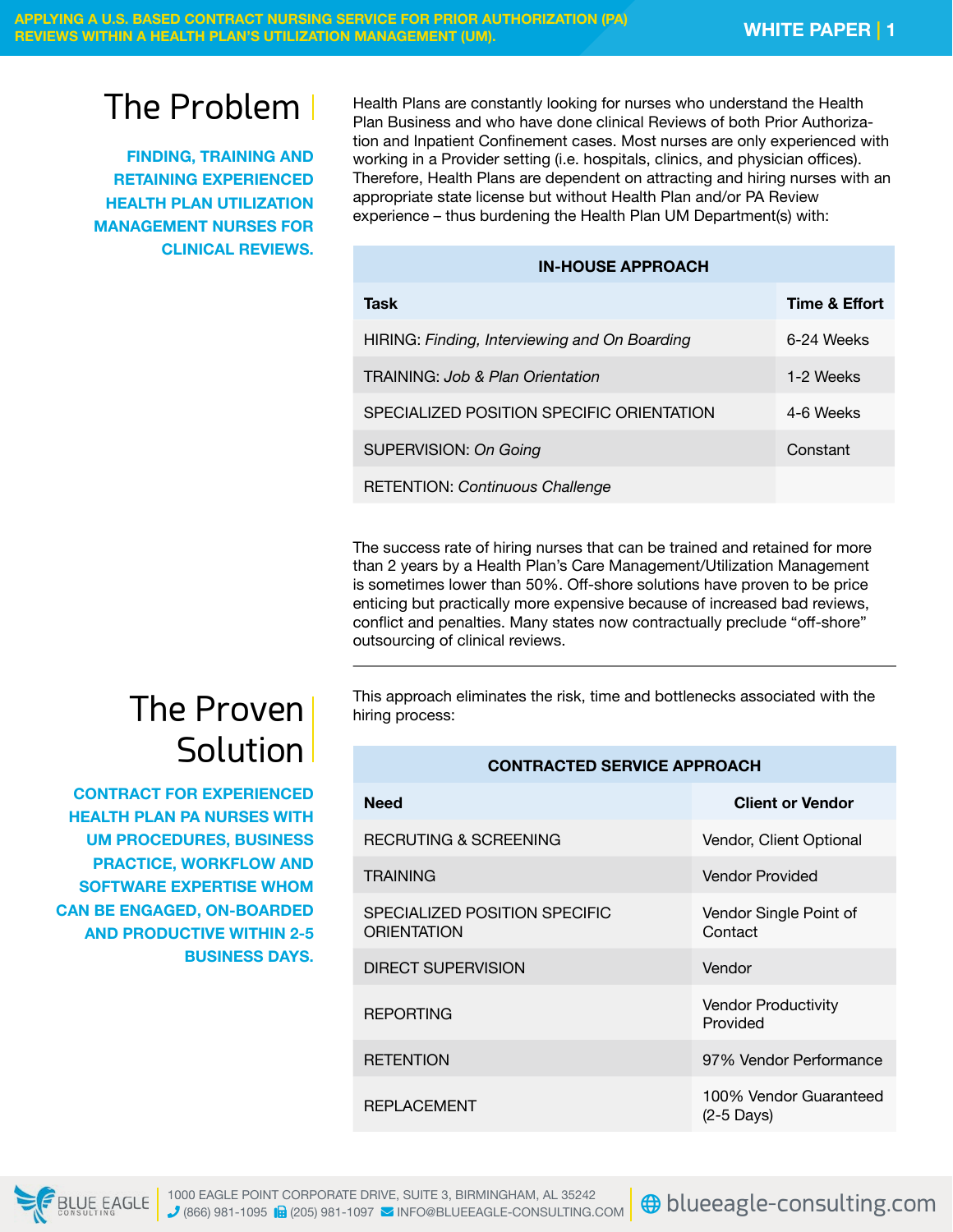# The Problem

**FINDING, TRAINING AND RETAINING EXPERIENCED HEALTH PLAN UTILIZATION MANAGEMENT NURSES FOR CLINICAL REVIEWS.**

Health Plans are constantly looking for nurses who understand the Health Plan Business and who have done clinical Reviews of both Prior Authorization and Inpatient Confinement cases. Most nurses are only experienced with working in a Provider setting (i.e. hospitals, clinics, and physician offices). Therefore, Health Plans are dependent on attracting and hiring nurses with an appropriate state license but without Health Plan and/or PA Review experience – thus burdening the Health Plan UM Department(s) with:

#### **IN-HOUSE APPROACH**

| Task                                          | Time & Effort |
|-----------------------------------------------|---------------|
| HIRING: Finding, Interviewing and On Boarding | 6-24 Weeks    |
| TRAINING: Job & Plan Orientation              | 1-2 Weeks     |
| SPECIALIZED POSITION SPECIFIC ORIENTATION     | 4-6 Weeks     |
| <b>SUPERVISION: On Going</b>                  | Constant      |
| <b>RETENTION: Continuous Challenge</b>        |               |

The success rate of hiring nurses that can be trained and retained for more than 2 years by a Health Plan's Care Management/Utilization Management is sometimes lower than 50%. Off-shore solutions have proven to be price enticing but practically more expensive because of increased bad reviews, conflict and penalties. Many states now contractually preclude "off-shore" outsourcing of clinical reviews.

This approach eliminates the risk, time and bottlenecks associated with the hiring process:

### **CONTRACTED SERVICE APPROACH**

| <b>Need</b>                                  | <b>Client or Vendor</b>                |
|----------------------------------------------|----------------------------------------|
| RECRUTING & SCREENING                        | Vendor, Client Optional                |
| <b>TRAINING</b>                              | Vendor Provided                        |
| SPECIALIZED POSITION SPECIFIC<br>ORIENTATION | Vendor Single Point of<br>Contact      |
| <b>DIRECT SUPERVISION</b>                    | Vendor                                 |
| <b>REPORTING</b>                             | <b>Vendor Productivity</b><br>Provided |
| <b>RETENTION</b>                             | 97% Vendor Performance                 |
| <b>REPLACEMENT</b>                           | 100% Vendor Guaranteed<br>$(2-5$ Days) |

# The Proven **Solution**

**CONTRACT FOR EXPERIENCED HEALTH PLAN PA NURSES WITH UM PROCEDURES, BUSINESS PRACTICE, WORKFLOW AND SOFTWARE EXPERTISE WHOM CAN BE ENGAGED, ON-BOARDED AND PRODUCTIVE WITHIN 2-5 BUSINESS DAYS.**

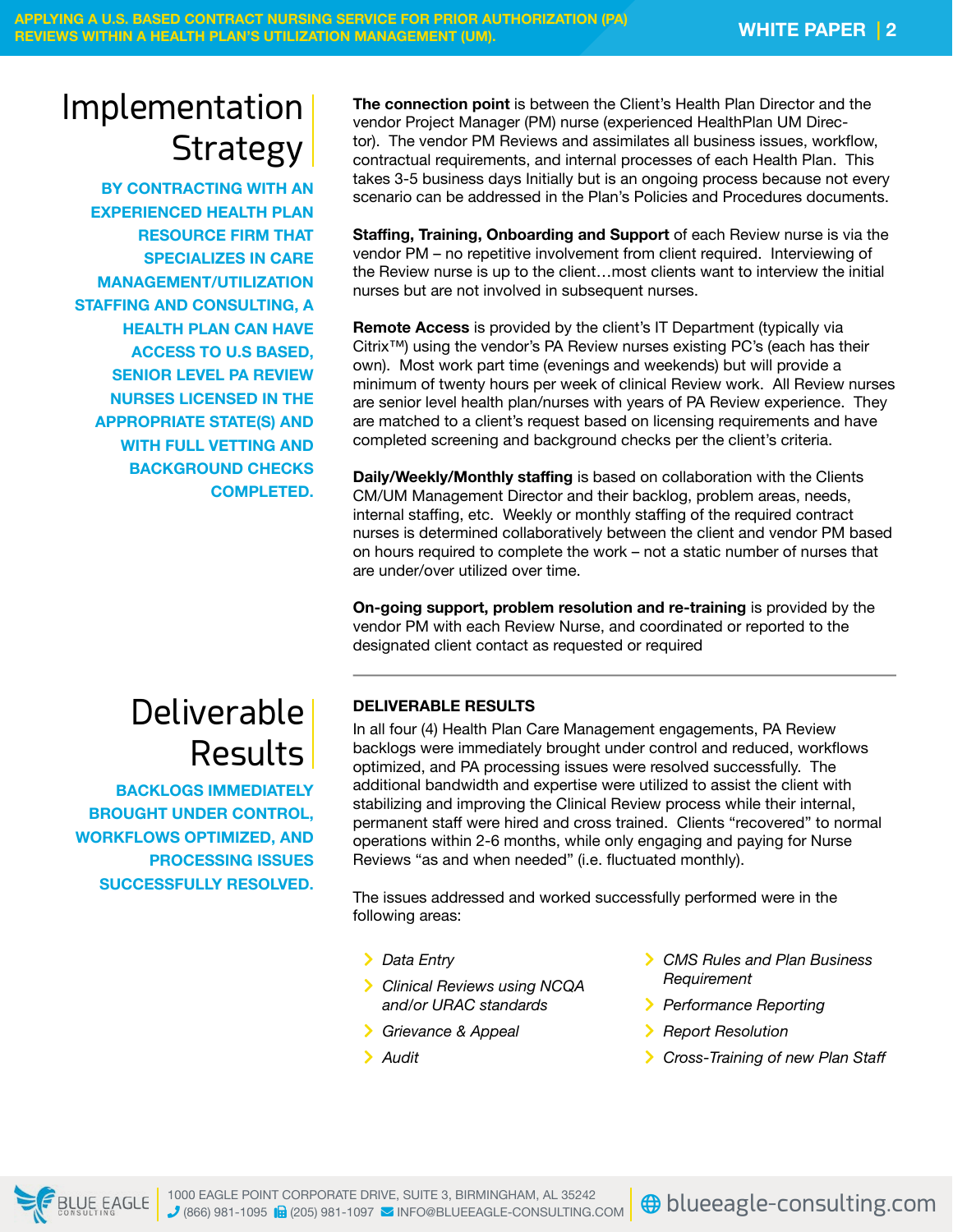# Implementation **Strategy**

**BY CONTRACTING WITH AN EXPERIENCED HEALTH PLAN RESOURCE FIRM THAT SPECIALIZES IN CARE MANAGEMENT/UTILIZATION STAFFING AND CONSULTING, A HEALTH PLAN CAN HAVE ACCESS TO U.S BASED, SENIOR LEVEL PA REVIEW NURSES LICENSED IN THE APPROPRIATE STATE(S) AND WITH FULL VETTING AND BACKGROUND CHECKS COMPLETED.** **The connection point** is between the Client's Health Plan Director and the vendor Project Manager (PM) nurse (experienced HealthPlan UM Director). The vendor PM Reviews and assimilates all business issues, workflow, contractual requirements, and internal processes of each Health Plan. This takes 3-5 business days Initially but is an ongoing process because not every scenario can be addressed in the Plan's Policies and Procedures documents.

**Staffing, Training, Onboarding and Support** of each Review nurse is via the vendor PM – no repetitive involvement from client required. Interviewing of the Review nurse is up to the client…most clients want to interview the initial nurses but are not involved in subsequent nurses.

**Remote Access** is provided by the client's IT Department (typically via Citrix™) using the vendor's PA Review nurses existing PC's (each has their own). Most work part time (evenings and weekends) but will provide a minimum of twenty hours per week of clinical Review work. All Review nurses are senior level health plan/nurses with years of PA Review experience. They are matched to a client's request based on licensing requirements and have completed screening and background checks per the client's criteria.

**Daily/Weekly/Monthly staffing** is based on collaboration with the Clients CM/UM Management Director and their backlog, problem areas, needs, internal staffing, etc. Weekly or monthly staffing of the required contract nurses is determined collaboratively between the client and vendor PM based on hours required to complete the work – not a static number of nurses that are under/over utilized over time.

**On-going support, problem resolution and re-training** is provided by the vendor PM with each Review Nurse, and coordinated or reported to the designated client contact as requested or required

## Deliverable Results

**BACKLOGS IMMEDIATELY BROUGHT UNDER CONTROL, WORKFLOWS OPTIMIZED, AND PROCESSING ISSUES SUCCESSFULLY RESOLVED.**

### **DELIVERABLE RESULTS**

In all four (4) Health Plan Care Management engagements, PA Review backlogs were immediately brought under control and reduced, workflows optimized, and PA processing issues were resolved successfully. The additional bandwidth and expertise were utilized to assist the client with stabilizing and improving the Clinical Review process while their internal, permanent staff were hired and cross trained. Clients "recovered" to normal operations within 2-6 months, while only engaging and paying for Nurse Reviews "as and when needed" (i.e. fluctuated monthly).

The issues addressed and worked successfully performed were in the following areas:

- *Data Entry*
- *Clinical Reviews using NCQA and/or URAC standards*
- *Grievance & Appeal*
- *Audit*
- *CMS Rules and Plan Business Requirement*
- *Performance Reporting*
- *Report Resolution*
- *Cross-Training of new Plan Staff*

**E** BLUE EAGLE